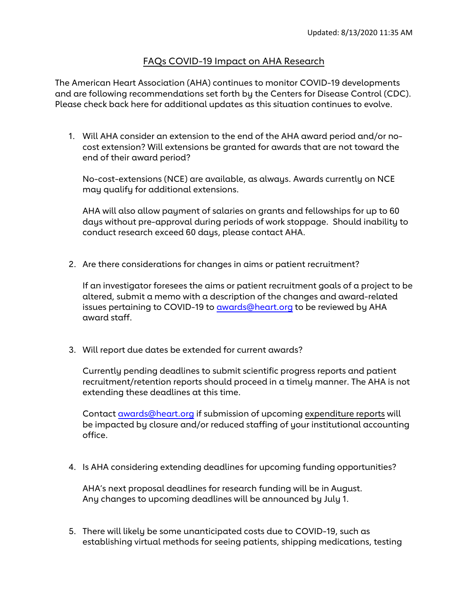## FAQs COVID-19 Impact on AHA Research

The American Heart Association (AHA) continues to monitor COVID-19 developments and are following recommendations set forth by the Centers for Disease Control (CDC). Please check back here for additional updates as this situation continues to evolve.

1. Will AHA consider an extension to the end of the AHA award period and/or nocost extension? Will extensions be granted for awards that are not toward the end of their award period?

No-cost-extensions (NCE) are available, as always. Awards currently on NCE may qualify for additional extensions.

AHA will also allow payment of salaries on grants and fellowships for up to 60 days without pre-approval during periods of work stoppage. Should inability to conduct research exceed 60 days, please contact AHA.

2. Are there considerations for changes in aims or patient recruitment?

If an investigator foresees the aims or patient recruitment goals of a project to be altered, submit a memo with a description of the changes and award-related issues pertaining to COVID-19 to [awards@heart.org](mailto:awards@heart.org) to be reviewed by AHA award staff.

3. Will report due dates be extended for current awards?

Currently pending deadlines to submit scientific progress reports and patient recruitment/retention reports should proceed in a timely manner. The AHA is not extending these deadlines at this time.

Contact [awards@heart.org](mailto:awards@heart.org) if submission of upcoming expenditure reports will be impacted by closure and/or reduced staffing of your institutional accounting office.

4. Is AHA considering extending deadlines for upcoming funding opportunities?

AHA's next proposal deadlines for research funding will be in August. Any changes to upcoming deadlines will be announced by July 1.

5. There will likely be some unanticipated costs due to COVID-19, such as establishing virtual methods for seeing patients, shipping medications, testing